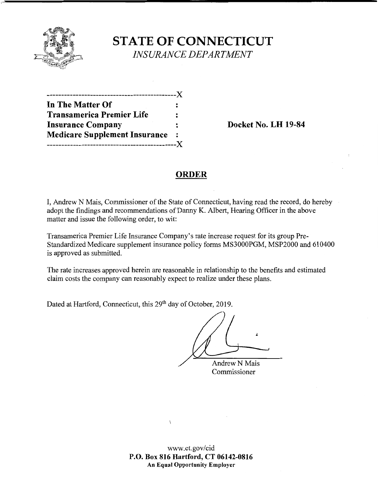

# **STATE OF CONNECTICUT**  *INSURANCE DEPARTMENT*

| .---------------------X              |         |
|--------------------------------------|---------|
| In The Matter Of                     |         |
| <b>Transamerica Premier Life</b>     | :       |
| <b>Insurance Company</b>             | :       |
| <b>Medicare Supplement Insurance</b> | $\cdot$ |
|                                      |         |

**Docket No. LH 19-84** 

# **ORDER**

I, Andrew N Mais, Commissioner of the State of Connecticut, having read the record, do hereby adopt the findings and recommendations of Danny K. Albert, Hearing Officer in the above matter and issue the following order, to wit:

Transamerica Premier Life Insurance Company's rate increase request for its group Pre-Standardized Medicare supplement insurance policy forms MS3000PGM, MSP2000 and 610400 is approved as submitted.

The rate increases approved herein are reasonable in relationship to the benefits and estimated claim costs the company can reasonably expect to realize under these plans.

Dated at Hartford, Connecticut, this 29<sup>th</sup> day of October, 2019.

Andrew N Mais Commissioner

 $\overline{1}$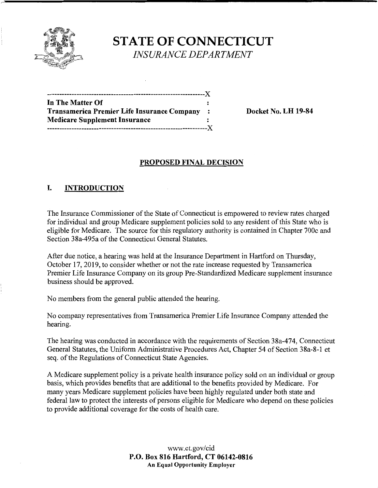

**ST ATE OF CONNECTICUT**  *INSURANCE DEPARTMENT* 

| -------------------                         |                |
|---------------------------------------------|----------------|
| In The Matter Of                            |                |
| Transamerica Premier Life Insurance Company | $\ddot{\cdot}$ |
| Medicare Supplement Insurance               |                |
|                                             |                |
|                                             |                |

**Transamerica Premier Life Insurance Company** : **Docket No. LH 19-84** 

## **PROPOSED FINAL DECISION**

# I. **INTRODUCTION**

The Insurance Commissioner of the State of Connecticut is empowered to review rates charged for individual and group Medicare supplement policies sold to any resident of this State who is eligible for Medicare. The source for this regulatory authority is contained in Chapter 700c and Section 38a-495a of the Connecticut General Statutes.

After due notice, a hearing was held at the Insurance Department in Hartford on Thursday, October 17, 2019, to consider whether or not the rate increase requested by Transamerica Premier Life Insurance Company on its group Pre-Standardized Medicare supplement insurance business should be approved.

No members from the general public attended the hearing.

No company representatives from Transamerica Premier Life Insurance Company attended the hearing.

The hearing was conducted in accordance with the requirements of Section 38a-474, Connecticut General Statutes, the Uniform Administrative Procedures Act, Chapter 54 of Section 38a-8-1 et seq. of the Regulations of Connecticut State Agencies.

A Medicare supplement policy is a private health insurance policy sold on an individual or group basis, which provides benefits that are additional to the benefits provided by Medicare. For many years Medicare supplement policies have been highly regulated under both state and federal law to protect the interests of persons eligible for Medicare who depend on these policies to provide additional coverage for the costs of health care.

> www.ct.gov/cid **P.O. Box 816 Hartford, CT 06142-0816 An Equal Opportunity Employer**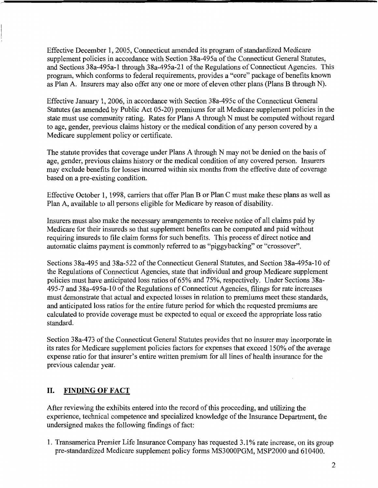Effective December 1, 2005, Connecticut amended its program of standardized Medicare supplement policies in accordance with Section 38a-495a of the Connecticut General Statutes, and Sections 38a-495a-1 through 38a-495a-21 of the Regulations of Connecticut Agencies. This program, which conforms to federal requirements, provides a "core" package of benefits known as Plan A. Insurers may also offer any one or more of eleven other plans (Plans B through N).

Effective January 1, 2006, in accordance with Section 38a-495c of the Connecticut General Statutes (as amended by Public Act 05-20) premiums for all Medicare supplement policies in the state must use community rating. Rates for Plans A through N must be computed without regard to age, gender, previous claims history or the medical condition of any person covered by a Medicare supplement policy or certificate.

The statute provides that coverage under Plans A through N may not be denied on the basis of age, gender, previous claims history or the medical condition of any covered person. Insurers may exclude benefits for losses incurred within six months from the effective date of coverage based on a pre-existing condition.

Effective October 1, 1998, carriers that offer Plan B or Plan C must make these plans as well as Plan A, available to all persons eligible for Medicare by reason of disability.

Insurers must also make the necessary arrangements to receive notice of all claims paid by Medicare for their insureds so that supplement benefits can be computed and paid without requiring insureds to file claim forms for such benefits. This process of direct notice and automatic claims payment is commonly referred to as "piggybacking" or "crossover".

Sections 38a-495 and 38a-522 of the Connecticut General Statutes, and Section 38a-495a-10 of the Regulations of Connecticut Agencies, state that individual and group Medicare supplement policies must have anticipated loss ratios of 65% and 75%, respectively. Under Sections 38a-495-7 and 38a-495a-l O of the Regulations of Connecticut Agencies, filings for rate increases must demonstrate that actual and expected losses in relation to premiums meet these standards, and anticipated loss ratios for the entire future period for which the requested premiums are calculated to provide coverage must be expected to equal or exceed the appropriate loss ratio standard.

Section 38a-473 of the Connecticut General Statutes provides that no insurer may incorporate in its rates for Medicare supplement policies factors for expenses that exceed 150% of the average expense ratio for that insurer's entire written premium for all lines of health insurance for the previous calendar year.

## **II. FINDING OF FACT**

After reviewing the exhibits entered into the record of this proceeding, and utilizing the experience, technical competence and specialized knowledge of the Insurance Department, the undersigned makes the following findings of fact:

1. Transamerica Premier Life Insurance Company has requested 3 .1 % rate increase, on its group pre-standardized Medicare supplement policy forms MS3000PGM, MSP2000 and 610400.